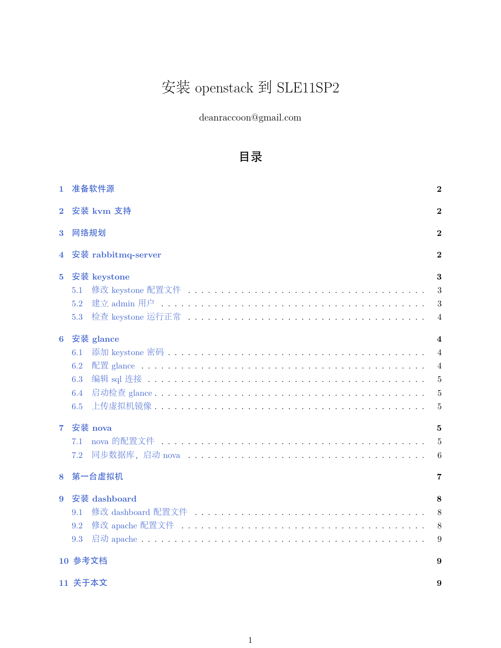# 安装 openstack 到 SLE11SP2

deanraccoon@gmail.com

# 目录

| $\mathbf{1}$   | 准备软件源              | $\bf{2}$        |  |  |  |  |
|----------------|--------------------|-----------------|--|--|--|--|
| $\overline{2}$ | 安装 kvm 支持          | $\bf{2}$        |  |  |  |  |
| 3              | 网络规划               | $\bf{2}$        |  |  |  |  |
| 4              | 安装 rabbitmq-server | $\overline{2}$  |  |  |  |  |
| 5              | 安装 keystone        | 3               |  |  |  |  |
|                | 5.1                | 3               |  |  |  |  |
|                | 5.2                | 3               |  |  |  |  |
|                | 5.3                | $\overline{4}$  |  |  |  |  |
| $6\phantom{1}$ | 安装 glance          | $\overline{4}$  |  |  |  |  |
|                | 6.1                | $\overline{4}$  |  |  |  |  |
|                | 6.2                | $\overline{4}$  |  |  |  |  |
|                | 6.3                | $\overline{5}$  |  |  |  |  |
|                | 6.4                | $\overline{5}$  |  |  |  |  |
|                | 6.5                | 5               |  |  |  |  |
| $\overline{7}$ | 安装 nova            | 5               |  |  |  |  |
|                | 7.1                | $\overline{5}$  |  |  |  |  |
|                | 7.2                | $6\phantom{.}6$ |  |  |  |  |
| 8              | 第一台虚拟机             | 7               |  |  |  |  |
| 9              | 安装 dashboard       | 8               |  |  |  |  |
|                | 9.1                | 8               |  |  |  |  |
|                | 9.2                | 8               |  |  |  |  |
|                | 9.3                | 9               |  |  |  |  |
| 10 参考文档<br>9   |                    |                 |  |  |  |  |
|                | 11 关于本文<br>9       |                 |  |  |  |  |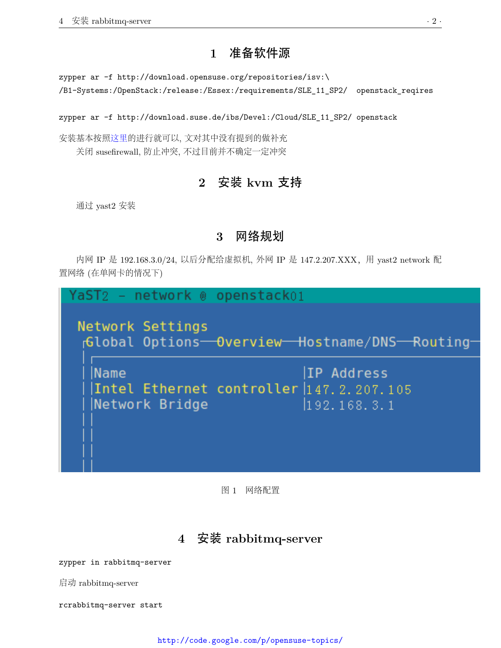### **1** 准备软件源

<span id="page-1-0"></span>zypper ar -f http://download.opensuse.org/repositories/isv:\ /B1-Systems:/OpenStack:/release:/Essex:/requirements/SLE\_11\_SP2/ openstack\_reqires

zypper ar -f http://download.suse.de/ibs/Devel:/Cloud/SLE\_11\_SP2/ openstack

<span id="page-1-1"></span>安装基本按[照这里](http://www.hastexo.com/resources/docs/installing-openstack-essex-20121-ubuntu-1204-precise-pangolin)的进行就可以, 文对其中没有提到的做补充 关闭 susefirewall, 防止冲突, 不过目前并不确定一定冲突

# **2** 安装 **kvm** 支持

<span id="page-1-2"></span>通过 yast2 安装

### **3** 网络规划

内网 IP 是 192.168.3.0/24, 以后分配给虚拟机, 外网 IP 是 147.2.207.XXX, 用 yast2 network 配 置网络 (在单网卡的情况下)

network @ openstack01 raST2 Network Settings Global Options-Overview-Hostname/DNS-Routing-IP Address Name Intel Ethernet controller 147.2.207.105 Network Bridge  $192.168.3.1$ 

图 1 网络配置

# **4** 安装 **rabbitmq-server**

<span id="page-1-3"></span>zypper in rabbitmq-server

启动 rabbitmq-server

<span id="page-1-4"></span>rcrabbitmq-server start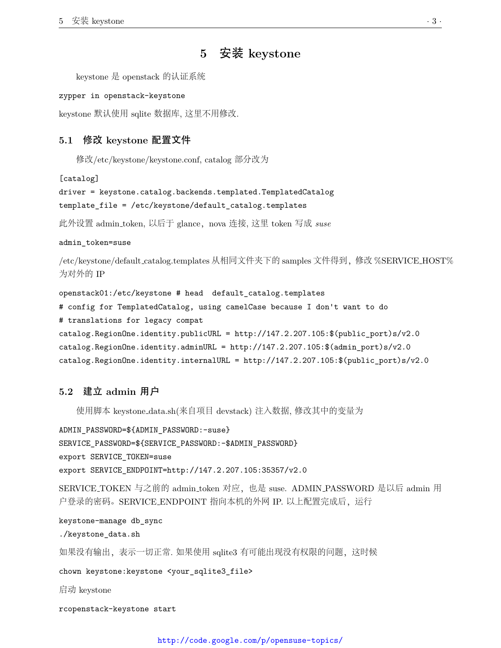# **5** 安装 **keystone**

keystone 是 openstack 的认证系统

```
zypper in openstack-keystone
```
<span id="page-2-0"></span>keystone 默认使用 sqlite 数据库, 这里不用修改.

#### **5.1** 修改 **keystone** 配置文件

修改/etc/keystone/keystone.conf, catalog 部分改为

[catalog]

```
driver = keystone.catalog.backends.templated.TemplatedCatalog
```

```
template_file = /etc/keystone/default_catalog.templates
```
比外设置 admin\_token, 以后于 glance, nova 连接, 这里 token 写成 *suse* 

admin\_token=suse

/etc/keystone/default catalog.templates 从相同文件夹下的 samples 文件得到,修改 %SERVICE HOST% 为对外的 IP

```
openstack01:/etc/keystone # head default_catalog.templates
# config for TemplatedCatalog, using camelCase because I don't want to do
# translations for legacy compat
catalog.RegionOne.identity.publicURL = http://147.2.207.105:$(public_port)s/v2.0
catalog.RegionOne.identity.adminURL = http://147.2.207.105:$(admin_port)s/v2.0
catalog.RegionOne.identity.internalURL = http://147.2.207.105:$(public_port)s/v2.0
```
### <span id="page-2-1"></span>**5.2** 建立 **admin** 用户

使用脚本 keystone data.sh(来自项目 devstack) 注入数据, 修改其中的变量为

```
ADMIN_PASSWORD=${ADMIN_PASSWORD:-suse}
SERVICE_PASSWORD=${SERVICE_PASSWORD:-$ADMIN_PASSWORD}
export SERVICE_TOKEN=suse
export SERVICE_ENDPOINT=http://147.2.207.105:35357/v2.0
```
SERVICE\_TOKEN 与之前的 admin\_token 对应, 也是 suse. ADMIN\_PASSWORD 是以后 admin 用 户登录的密码。SERVICE\_ENDPOINT 指向本机的外网 IP. 以上配置完成后,运行

```
keystone-manage db_sync
./keystone_data.sh
如果没有输出,表示一切正常. 如果使用 sqlite3 有可能出现没有权限的问题,这时候
chown keystone:keystone <your_sqlite3_file>
启动 keystone
```
<span id="page-2-2"></span>rcopenstack-keystone start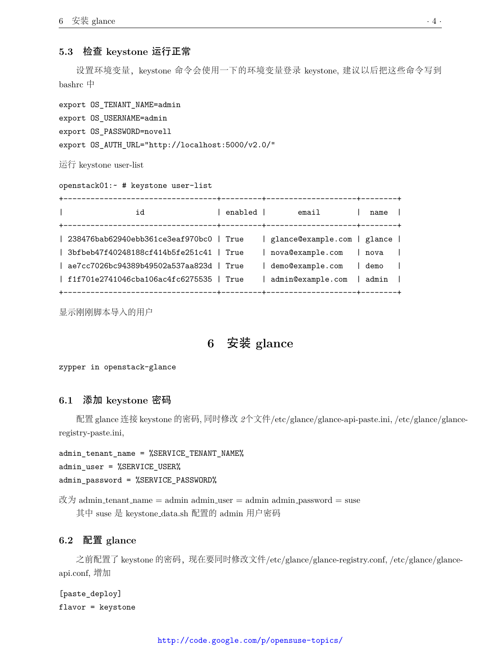### **5.3** 检查 **keystone** 运行正常

设置环境变量,keystone 命令会使用一下的环境变量登录 keystone, 建议以后把这些命令写到 bashrc 中

export OS\_TENANT\_NAME=admin export OS\_USERNAME=admin export OS\_PASSWORD=novell export OS\_AUTH\_URL="http://localhost:5000/v2.0/"

运行 keystone user-list

| openstack01:- # keystone user-list                                                                                                                                               |         |                                                                                                        |                                      |  |  |  |  |  |
|----------------------------------------------------------------------------------------------------------------------------------------------------------------------------------|---------|--------------------------------------------------------------------------------------------------------|--------------------------------------|--|--|--|--|--|
| $\mathbf{L}$<br>id                                                                                                                                                               | enabled | email                                                                                                  | name l                               |  |  |  |  |  |
| 238476bab62940ebb361ce3eaf970bc0   True<br>$ $ 3bfbeb47f40248188cf414b5fe251c41   True<br>  ae7cc7026bc94389b49502a537aa823d   True<br>  f1f701e2741046cba106ac4fc6275535   True |         | glance@example.com   glance  <br>  nova@example.com<br>demo@example.com<br>  admin@example.com   admin | l nova l<br>l demo<br>$\blacksquare$ |  |  |  |  |  |

<span id="page-3-0"></span>显示刚刚脚本导入的用户

### **6** 安装 **glance**

<span id="page-3-1"></span>zypper in openstack-glance

#### **6.1** 添加 **keystone** 密码

配置 glance 连接 keystone 的密码, 同时修改 *2*个文件/etc/glance/glance-api-paste.ini, /etc/glance/glanceregistry-paste.ini,

admin\_tenant\_name = %SERVICE\_TENANT\_NAME% admin\_user = %SERVICE\_USER% admin\_password = %SERVICE\_PASSWORD%

改为 admin\_tenant\_name = admin admin\_user = admin admin\_password = suse 其中 suse 是 keystone data.sh 配置的 admin 用户密码

### <span id="page-3-2"></span>**6.2** 配置 **glance**

之前配置了 keystone 的密码, 现在要同时修改文件/etc/glance/glance-registry.conf, /etc/glance/glanceapi.conf, 增加

<span id="page-3-3"></span>[paste\_deploy] flavor = keystone

#### <http://code.google.com/p/opensuse-topics/>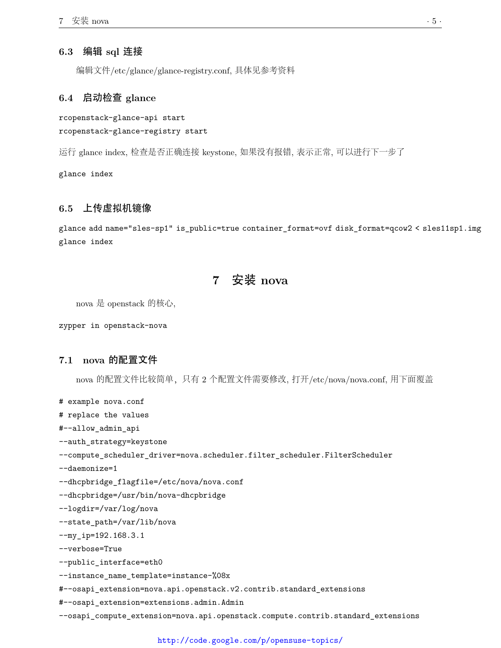### **6.3** 编辑 **sql** 连接

编辑文件/etc/glance/glance-registry.conf, 具体见参考资料

### <span id="page-4-0"></span>**6.4** 启动检查 **glance**

rcopenstack-glance-api start rcopenstack-glance-registry start

运行 glance index, 检查是否正确连接 keystone, 如果没有报错, 表示正常, 可以进行下一步了

<span id="page-4-1"></span>glance index

### **6.5** 上传虚拟机镜像

<span id="page-4-2"></span>glance add name="sles-sp1" is\_public=true container\_format=ovf disk\_format=qcow2 < sles11sp1.img glance index

# **7** 安装 **nova**

nova 是 openstack 的核心,

<span id="page-4-3"></span>zypper in openstack-nova

#### **7.1 nova** 的配置文件

nova 的配置文件比较简单,只有 2 个配置文件需要修改, 打开/etc/nova/nova.conf, 用下面覆盖

# example nova.conf

# replace the values

#--allow\_admin\_api

--auth\_strategy=keystone

--compute\_scheduler\_driver=nova.scheduler.filter\_scheduler.FilterScheduler

--daemonize=1

--dhcpbridge\_flagfile=/etc/nova/nova.conf

--dhcpbridge=/usr/bin/nova-dhcpbridge

--logdir=/var/log/nova

--state\_path=/var/lib/nova

--my\_ip=192.168.3.1

--verbose=True

--public\_interface=eth0

--instance\_name\_template=instance-%08x

#--osapi\_extension=nova.api.openstack.v2.contrib.standard\_extensions

#--osapi\_extension=extensions.admin.Admin

--osapi\_compute\_extension=nova.api.openstack.compute.contrib.standard\_extensions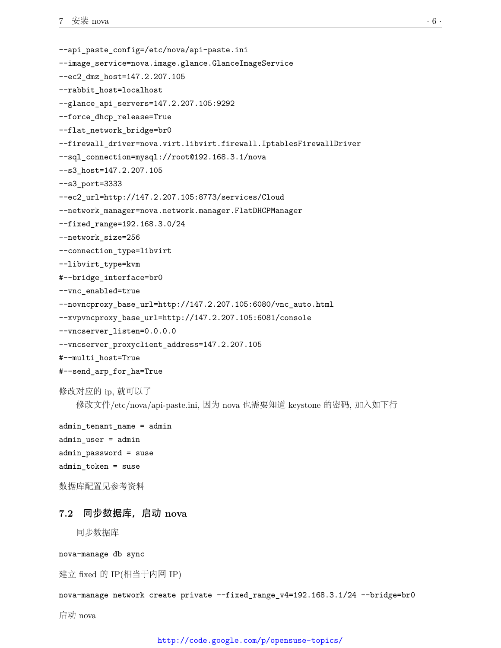```
--api_paste_config=/etc/nova/api-paste.ini
--image_service=nova.image.glance.GlanceImageService
--ec2_dmz_host=147.2.207.105
--rabbit_host=localhost
--glance_api_servers=147.2.207.105:9292
--force_dhcp_release=True
--flat_network_bridge=br0
--firewall_driver=nova.virt.libvirt.firewall.IptablesFirewallDriver
--sql_connection=mysql://root@192.168.3.1/nova
--s3_host=147.2.207.105
--s3_port=3333
--ec2_url=http://147.2.207.105:8773/services/Cloud
--network_manager=nova.network.manager.FlatDHCPManager
--fixed_range=192.168.3.0/24
--network_size=256
--connection_type=libvirt
--libvirt_type=kvm
#--bridge_interface=br0
--vnc_enabled=true
--novncproxy_base_url=http://147.2.207.105:6080/vnc_auto.html
--xvpvncproxy_base_url=http://147.2.207.105:6081/console
--vncserver_listen=0.0.0.0
--vncserver_proxyclient_address=147.2.207.105
#--multi_host=True
#--send_arp_for_ha=True
修改对应的 ip, 就可以了
```
修改文件/etc/nova/api-paste.ini, 因为 nova 也需要知道 keystone 的密码, 加入如下行

```
admin_tenant_name = admin
admin_user = admin
admin_password = suse
admin_token = suse
```

```
数据库配置见参考资料
```
### **7.2** 同步数据库,启动 **nova**

同步数据库

nova-manage db sync

建立 fixed 的 IP(相当于内网 IP)

```
nova-manage network create private --fixed range_v4=192.168.3.1/24 --bridge=br0
```
启动 nova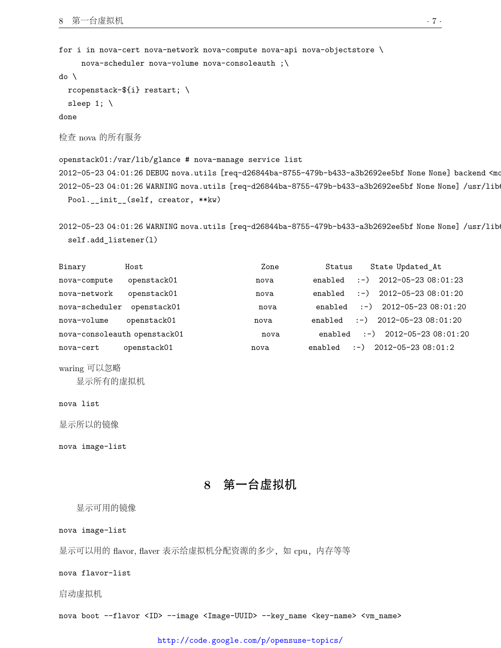```
for i in nova-cert nova-network nova-compute nova-api nova-objectstore \
    nova-scheduler nova-volume nova-consoleauth ;\
```
do \

```
rcopenstack-${i} restart; \
sleep 1; \setminus
```
done

```
检查 nova 的所有服务
```

```
openstack01:/var/lib/glance # nova-manage service list
2012-05-23 04:01:26 DEBUG nova.utils [req-d26844ba-8755-479b-b433-a3b2692ee5bf None None] backend <mo
2012-05-23 04:01:26 WARNING nova.utils [req-d26844ba-8755-479b-b433-a3b2692ee5bf None None] /usr/lib
 Pool.__init__(self, creator, **kw)
```

```
2012-05-23 04:01:26 WARNING nova.utils [req-d26844ba-8755-479b-b433-a3b2692ee5bf None None] /usr/lib
 self.add_listener(l)
```

| Binary         | Host                         | Zone | Status  | State Updated At                     |
|----------------|------------------------------|------|---------|--------------------------------------|
| nova-compute   | openstack01                  | nova | enabled | $:$ -) 2012-05-23 08:01:23           |
| nova-network   | openstack01                  | nova | enabled | $:$ -) 2012-05-23 08:01:20           |
| nova-scheduler | openstack01                  | nova | enabled | $\left(-\right)$ 2012-05-23 08:01:20 |
| nova-volume    | openstack01                  | nova | enabled | $(-)$ 2012-05-23 08:01:20            |
|                | nova-consoleauth openstack01 | nova | enabled | $(-)$ 2012-05-23 08:01:20            |
| nova-cert      | openstack01                  | nova | enabled | $:$ - $\big)$ 2012-05-23 08:01:2     |
|                |                              |      |         |                                      |

```
waring 可以忽略
```
显示所有的虚拟机

nova list

显示所以的镜像

<span id="page-6-0"></span>nova image-list

**8** 第一台虚拟机

显示可用的镜像

nova image-list

显示可以用的 flavor, flaver 表示给虚拟机分配资源的多少,如 cpu,内存等等

nova flavor-list

启动虚拟机

nova boot --flavor <ID> --image <Image-UUID> --key\_name <key-name> <vm\_name>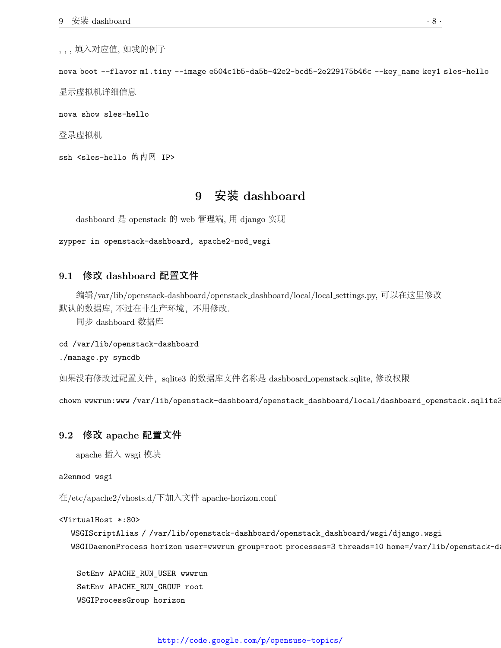, , , 填入对应值, 如我的例子

nova boot --flavor m1.tiny --image e504c1b5-da5b-42e2-bcd5-2e229175b46c --key\_name key1 sles-hello

显示虚拟机详细信息

nova show sles-hello

登录虚拟机

<span id="page-7-0"></span>ssh <sles-hello 的内网 IP>

# **9** 安装 **dashboard**

dashboard 是 openstack 的 web 管理端, 用 django 实现

<span id="page-7-1"></span>zypper in openstack-dashboard, apache2-mod\_wsgi

#### **9.1** 修改 **dashboard** 配置文件

编辑/var/lib/openstack-dashboard/openstack dashboard/local/local settings.py, 可以在这里修改 默认的数据库, 不过在非生产环境,不用修改.

同步 dashboard 数据库

#### cd /var/lib/openstack-dashboard

./manage.py syncdb

如果没有修改过配置文件,sqlite3 的数据库文件名称是 dashboard openstack.sqlite, 修改权限

<span id="page-7-2"></span>chown wwwrun:www /var/lib/openstack-dashboard/openstack\_dashboard/local/dashboard\_openstack.sqlite3

#### **9.2** 修改 **apache** 配置文件

apache 插入 wsgi 模块

#### a2enmod wsgi

在/etc/apache2/vhosts.d/下加入文件 apache-horizon.conf

#### <VirtualHost \*:80>

WSGIScriptAlias / /var/lib/openstack-dashboard/openstack\_dashboard/wsgi/django.wsgi WSGIDaemonProcess horizon user=wwwrun group=root processes=3 threads=10 home=/var/lib/openstack-d

SetEnv APACHE\_RUN\_USER wwwrun SetEnv APACHE\_RUN\_GROUP root WSGIProcessGroup horizon